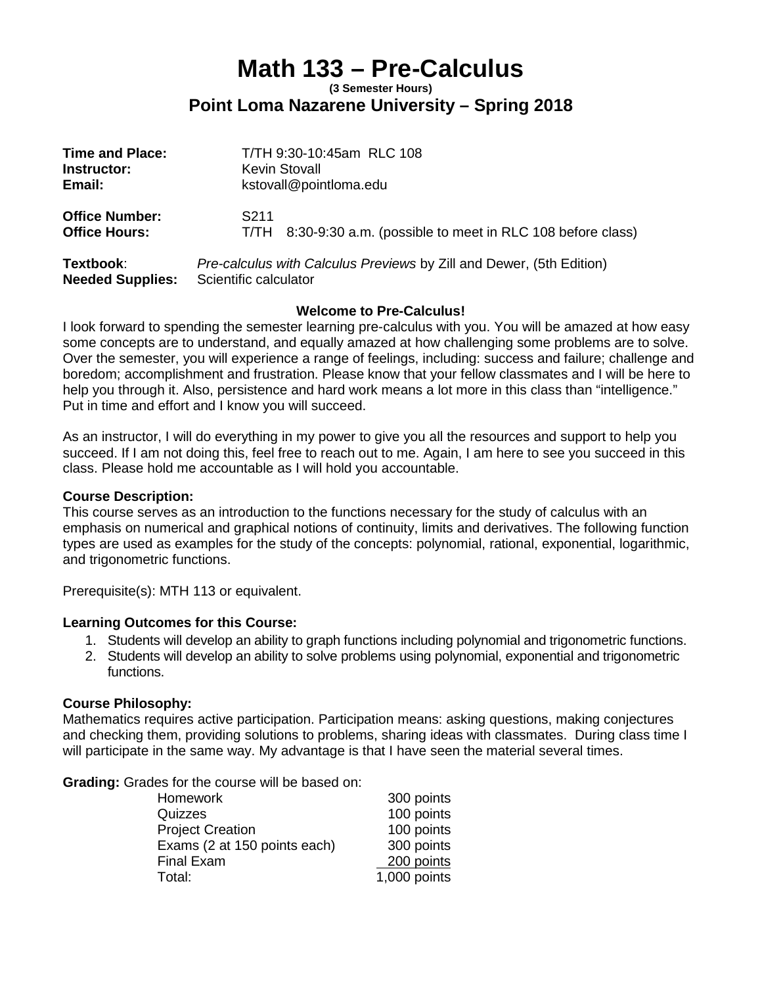# **Math 133 – Pre-Calculus**

#### **(3 Semester Hours) Point Loma Nazarene University – Spring 2018**

| <b>Time and Place:</b>                        | T/TH 9:30-10:45am RLC 108                                                 |
|-----------------------------------------------|---------------------------------------------------------------------------|
| Instructor:                                   | <b>Kevin Stovall</b>                                                      |
| Email:                                        | kstovall@pointloma.edu                                                    |
| <b>Office Number:</b><br><b>Office Hours:</b> | S211<br>8:30-9:30 a.m. (possible to meet in RLC 108 before class)<br>T/TH |
| Textbook:                                     | Pre-calculus with Calculus Previews by Zill and Dewer, (5th Edition)      |
| <b>Needed Supplies:</b>                       | Scientific calculator                                                     |

#### **Welcome to Pre-Calculus!**

I look forward to spending the semester learning pre-calculus with you. You will be amazed at how easy some concepts are to understand, and equally amazed at how challenging some problems are to solve. Over the semester, you will experience a range of feelings, including: success and failure; challenge and boredom; accomplishment and frustration. Please know that your fellow classmates and I will be here to help you through it. Also, persistence and hard work means a lot more in this class than "intelligence." Put in time and effort and I know you will succeed.

As an instructor, I will do everything in my power to give you all the resources and support to help you succeed. If I am not doing this, feel free to reach out to me. Again, I am here to see you succeed in this class. Please hold me accountable as I will hold you accountable.

#### **Course Description:**

This course serves as an introduction to the functions necessary for the study of calculus with an emphasis on numerical and graphical notions of continuity, limits and derivatives. The following function types are used as examples for the study of the concepts: polynomial, rational, exponential, logarithmic, and trigonometric functions.

Prerequisite(s): MTH 113 or equivalent.

#### **Learning Outcomes for this Course:**

- 1. Students will develop an ability to graph functions including polynomial and trigonometric functions.
- 2. Students will develop an ability to solve problems using polynomial, exponential and trigonometric functions.

#### **Course Philosophy:**

Mathematics requires active participation. Participation means: asking questions, making conjectures and checking them, providing solutions to problems, sharing ideas with classmates. During class time I will participate in the same way. My advantage is that I have seen the material several times.

**Grading:** Grades for the course will be based on:

| Homework                     | 300 points   |
|------------------------------|--------------|
| Quizzes                      | 100 points   |
| <b>Project Creation</b>      | 100 points   |
| Exams (2 at 150 points each) | 300 points   |
| Final Exam                   | 200 points   |
| Total:                       | 1,000 points |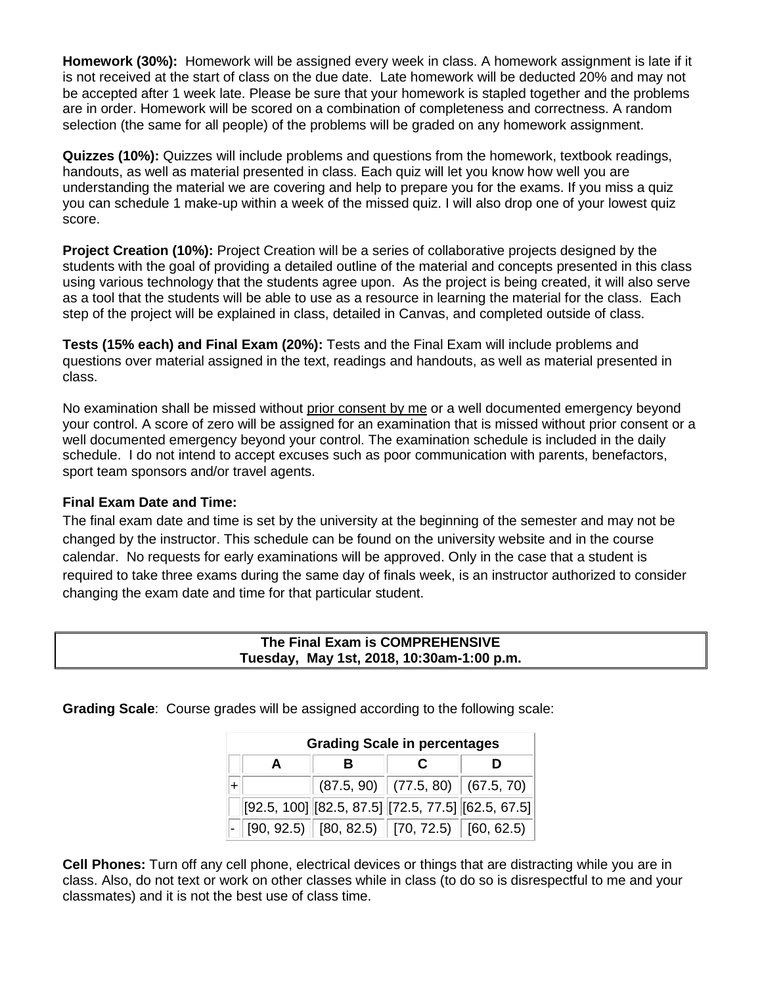**Homework (30%):** Homework will be assigned every week in class. A homework assignment is late if it is not received at the start of class on the due date. Late homework will be deducted 20% and may not be accepted after 1 week late. Please be sure that your homework is stapled together and the problems are in order. Homework will be scored on a combination of completeness and correctness. A random selection (the same for all people) of the problems will be graded on any homework assignment.

**Quizzes (10%):** Quizzes will include problems and questions from the homework, textbook readings, handouts, as well as material presented in class. Each quiz will let you know how well you are understanding the material we are covering and help to prepare you for the exams. If you miss a quiz you can schedule 1 make-up within a week of the missed quiz. I will also drop one of your lowest quiz score.

**Project Creation (10%):** Project Creation will be a series of collaborative projects designed by the students with the goal of providing a detailed outline of the material and concepts presented in this class using various technology that the students agree upon. As the project is being created, it will also serve as a tool that the students will be able to use as a resource in learning the material for the class. Each step of the project will be explained in class, detailed in Canvas, and completed outside of class.

**Tests (15% each) and Final Exam (20%):** Tests and the Final Exam will include problems and questions over material assigned in the text, readings and handouts, as well as material presented in class.

No examination shall be missed without prior consent by me or a well documented emergency beyond your control. A score of zero will be assigned for an examination that is missed without prior consent or a well documented emergency beyond your control. The examination schedule is included in the daily schedule. I do not intend to accept excuses such as poor communication with parents, benefactors, sport team sponsors and/or travel agents.

#### **Final Exam Date and Time:**

The final exam date and time is set by the university at the beginning of the semester and may not be changed by the instructor. This schedule can be found on the university website and in the course calendar. No requests for early examinations will be approved. Only in the case that a student is required to take three exams during the same day of finals week, is an instructor authorized to consider changing the exam date and time for that particular student.

|  | The Final Exam is COMPREHENSIVE           |  |
|--|-------------------------------------------|--|
|  | Tuesday, May 1st, 2018, 10:30am-1:00 p.m. |  |

**Grading Scale**: Course grades will be assigned according to the following scale:

| <b>Grading Scale in percentages</b> |  |  |                                                            |
|-------------------------------------|--|--|------------------------------------------------------------|
|                                     |  |  |                                                            |
|                                     |  |  | $(87.5, 90)$ $(77.5, 80)$ $(67.5, 70)$                     |
|                                     |  |  | $[92.5, 100]$ $[82.5, 87.5]$ $[72.5, 77.5]$ $[62.5, 67.5]$ |
|                                     |  |  | $[90, 92.5)$ $[80, 82.5)$ $[70, 72.5)$ $[60, 62.5)$        |

**Cell Phones:** Turn off any cell phone, electrical devices or things that are distracting while you are in class. Also, do not text or work on other classes while in class (to do so is disrespectful to me and your classmates) and it is not the best use of class time.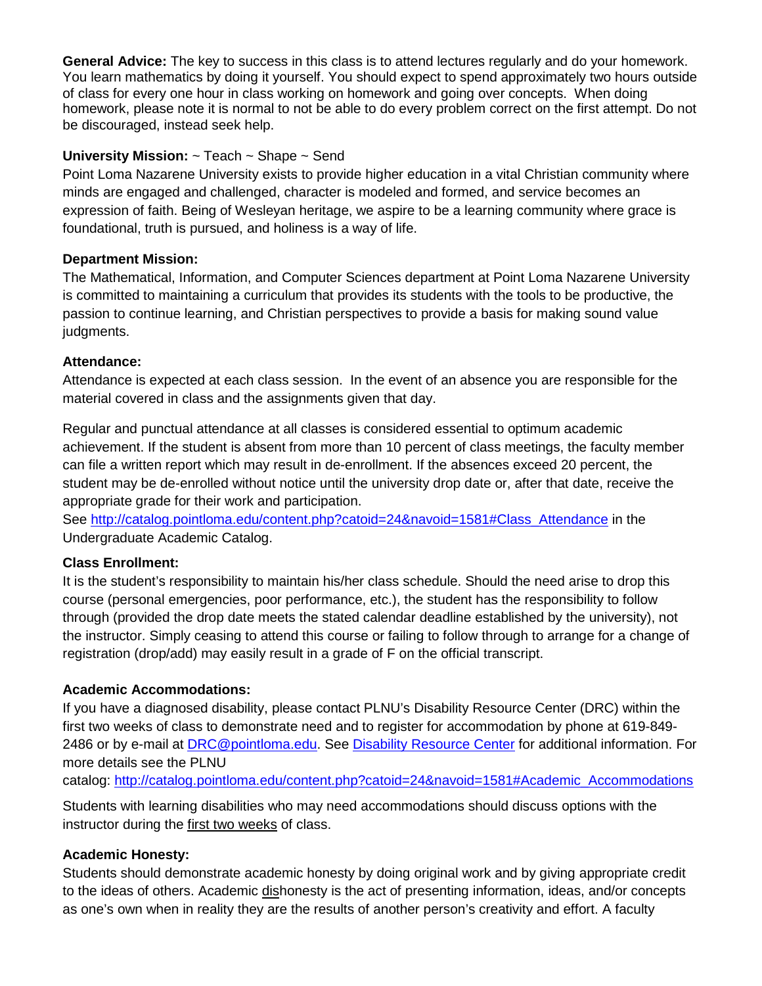**General Advice:** The key to success in this class is to attend lectures regularly and do your homework. You learn mathematics by doing it yourself. You should expect to spend approximately two hours outside of class for every one hour in class working on homework and going over concepts. When doing homework, please note it is normal to not be able to do every problem correct on the first attempt. Do not be discouraged, instead seek help.

## **University Mission:** ~ Teach ~ Shape ~ Send

Point Loma Nazarene University exists to provide higher education in a vital Christian community where minds are engaged and challenged, character is modeled and formed, and service becomes an expression of faith. Being of Wesleyan heritage, we aspire to be a learning community where grace is foundational, truth is pursued, and holiness is a way of life.

## **Department Mission:**

The Mathematical, Information, and Computer Sciences department at Point Loma Nazarene University is committed to maintaining a curriculum that provides its students with the tools to be productive, the passion to continue learning, and Christian perspectives to provide a basis for making sound value judgments.

## **Attendance:**

Attendance is expected at each class session. In the event of an absence you are responsible for the material covered in class and the assignments given that day.

Regular and punctual attendance at all classes is considered essential to optimum academic achievement. If the student is absent from more than 10 percent of class meetings, the faculty member can file a written report which may result in de-enrollment. If the absences exceed 20 percent, the student may be de-enrolled without notice until the university drop date or, after that date, receive the appropriate grade for their work and participation.

See [http://catalog.pointloma.edu/content.php?catoid=24&navoid=1581#Class\\_Attendance](http://catalog.pointloma.edu/content.php?catoid=24&navoid=1581#Class_Attendance) in the Undergraduate Academic Catalog.

# **Class Enrollment:**

It is the student's responsibility to maintain his/her class schedule. Should the need arise to drop this course (personal emergencies, poor performance, etc.), the student has the responsibility to follow through (provided the drop date meets the stated calendar deadline established by the university), not the instructor. Simply ceasing to attend this course or failing to follow through to arrange for a change of registration (drop/add) may easily result in a grade of F on the official transcript.

## **Academic Accommodations:**

If you have a diagnosed disability, please contact PLNU's Disability Resource Center (DRC) within the first two weeks of class to demonstrate need and to register for accommodation by phone at 619-849- 2486 or by e-mail at [DRC@pointloma.edu.](mailto:DRC@pointloma.edu) See [Disability Resource Center](http://www.pointloma.edu/experience/offices/administrative-offices/academic-advising-office/disability-resource-center) for additional information. For more details see the PLNU

catalog: [http://catalog.pointloma.edu/content.php?catoid=24&navoid=1581#Academic\\_Accommodations](http://catalog.pointloma.edu/content.php?catoid=24&navoid=1581#Academic_Accommodations)

Students with learning disabilities who may need accommodations should discuss options with the instructor during the first two weeks of class.

# **Academic Honesty:**

Students should demonstrate academic honesty by doing original work and by giving appropriate credit to the ideas of others. Academic dishonesty is the act of presenting information, ideas, and/or concepts as one's own when in reality they are the results of another person's creativity and effort. A faculty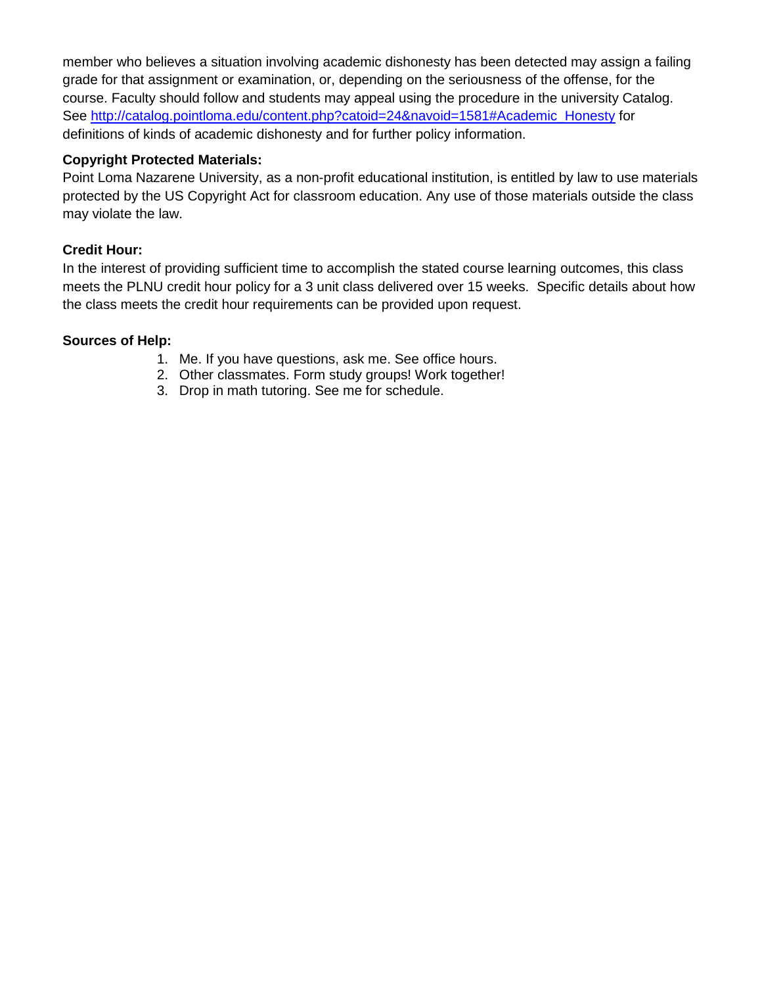member who believes a situation involving academic dishonesty has been detected may assign a failing grade for that assignment or examination, or, depending on the seriousness of the offense, for the course. Faculty should follow and students may appeal using the procedure in the university Catalog. See [http://catalog.pointloma.edu/content.php?catoid=24&navoid=1581#Academic\\_Honesty](http://catalog.pointloma.edu/content.php?catoid=24&navoid=1581#Academic_Honesty) for definitions of kinds of academic dishonesty and for further policy information.

### **Copyright Protected Materials:**

Point Loma Nazarene University, as a non-profit educational institution, is entitled by law to use materials protected by the US Copyright Act for classroom education. Any use of those materials outside the class may violate the law.

#### **Credit Hour:**

In the interest of providing sufficient time to accomplish the stated course learning outcomes, this class meets the PLNU credit hour policy for a 3 unit class delivered over 15 weeks. Specific details about how the class meets the credit hour requirements can be provided upon request.

#### **Sources of Help:**

- 1. Me. If you have questions, ask me. See office hours.
- 2. Other classmates. Form study groups! Work together!
- 3. Drop in math tutoring. See me for schedule.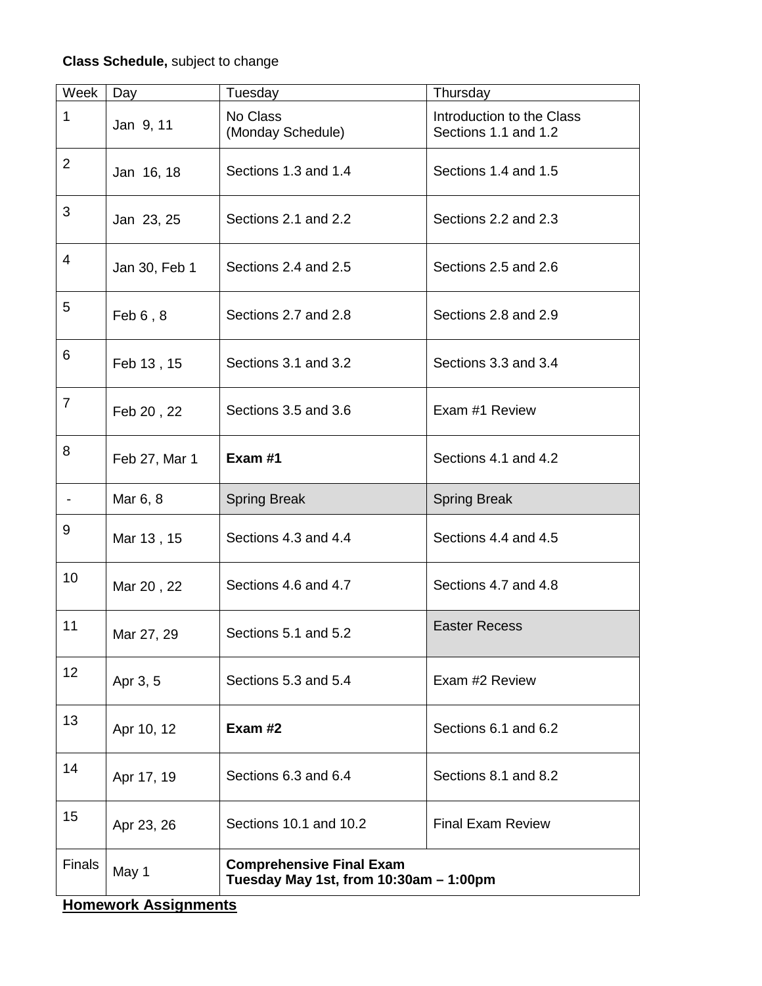# **Class Schedule,** subject to change

| Week            | Day           | Tuesday                                                                   | Thursday                                          |  |
|-----------------|---------------|---------------------------------------------------------------------------|---------------------------------------------------|--|
| 1               | Jan 9, 11     | No Class<br>(Monday Schedule)                                             | Introduction to the Class<br>Sections 1.1 and 1.2 |  |
| $\overline{2}$  | Jan 16, 18    | Sections 1.3 and 1.4                                                      | Sections 1.4 and 1.5                              |  |
| 3               | Jan 23, 25    | Sections 2.1 and 2.2                                                      | Sections 2.2 and 2.3                              |  |
| 4               | Jan 30, Feb 1 | Sections 2.4 and 2.5                                                      | Sections 2.5 and 2.6                              |  |
| 5               | Feb $6, 8$    | Sections 2.7 and 2.8                                                      | Sections 2.8 and 2.9                              |  |
| 6               | Feb 13, 15    | Sections 3.1 and 3.2                                                      | Sections 3.3 and 3.4                              |  |
| $\overline{7}$  | Feb 20, 22    | Sections 3.5 and 3.6                                                      | Exam #1 Review                                    |  |
| 8               | Feb 27, Mar 1 | Exam #1                                                                   | Sections 4.1 and 4.2                              |  |
|                 | Mar 6, 8      | <b>Spring Break</b>                                                       | <b>Spring Break</b>                               |  |
| 9               | Mar 13, 15    | Sections 4.3 and 4.4                                                      | Sections 4.4 and 4.5                              |  |
| 10              | Mar 20, 22    | Sections 4.6 and 4.7                                                      | Sections 4.7 and 4.8                              |  |
| 11              | Mar 27, 29    | Sections 5.1 and 5.2                                                      | <b>Easter Recess</b>                              |  |
| 12 <sub>2</sub> | Apr 3, 5      | Sections 5.3 and 5.4                                                      | Exam #2 Review                                    |  |
| 13              | Apr 10, 12    | Exam $#2$                                                                 | Sections 6.1 and 6.2                              |  |
| 14              | Apr 17, 19    | Sections 6.3 and 6.4                                                      | Sections 8.1 and 8.2                              |  |
| 15              | Apr 23, 26    | Sections 10.1 and 10.2                                                    | <b>Final Exam Review</b>                          |  |
| <b>Finals</b>   | May 1         | <b>Comprehensive Final Exam</b><br>Tuesday May 1st, from 10:30am - 1:00pm |                                                   |  |

## **Homework Assignments**